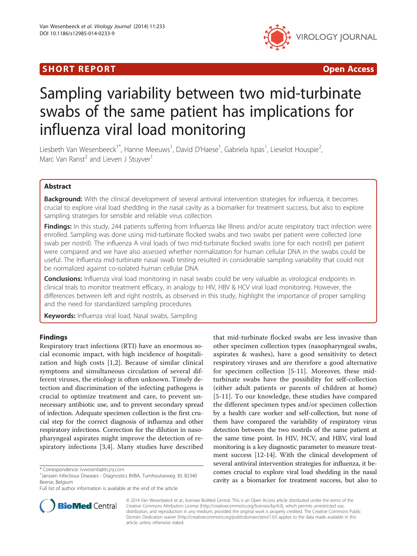## I SHORT REPORT AND THE RESERVE EXPLORER TO A SHOP OPEN ACCESS.



# Sampling variability between two mid-turbinate swabs of the same patient has implications for influenza viral load monitoring

Liesbeth Van Wesenbeeck<sup>1\*</sup>, Hanne Meeuws<sup>1</sup>, David D'Haese<sup>1</sup>, Gabriela Ispas<sup>1</sup>, Lieselot Houspie<sup>2</sup> , Marc Van Ranst<sup>2</sup> and Lieven J Stuyver<sup>1</sup>

## Abstract

Background: With the clinical development of several antiviral intervention strategies for influenza, it becomes crucial to explore viral load shedding in the nasal cavity as a biomarker for treatment success, but also to explore sampling strategies for sensible and reliable virus collection.

Findings: In this study, 244 patients suffering from Influenza like Illness and/or acute respiratory tract infection were enrolled. Sampling was done using mid-turbinate flocked swabs and two swabs per patient were collected (one swab per nostril). The influenza A viral loads of two mid-turbinate flocked swabs (one for each nostril) per patient were compared and we have also assessed whether normalization for human cellular DNA in the swabs could be useful. The Influenza mid-turbinate nasal swab testing resulted in considerable sampling variability that could not be normalized against co-isolated human cellular DNA.

Conclusions: Influenza viral load monitoring in nasal swabs could be very valuable as virological endpoints in clinical trials to monitor treatment efficacy, in analogy to HIV, HBV & HCV viral load monitoring. However, the differences between left and right nostrils, as observed in this study, highlight the importance of proper sampling and the need for standardized sampling procedures.

Keywords: Influenza viral load, Nasal swabs, Sampling

## Findings

Respiratory tract infections (RTI) have an enormous social economic impact, with high incidence of hospitalization and high costs [[1,2\]](#page-3-0). Because of similar clinical symptoms and simultaneous circulation of several different viruses, the etiology is often unknown. Timely detection and discrimination of the infecting pathogens is crucial to optimize treatment and care, to prevent unnecessary antibiotic use, and to prevent secondary spread of infection. Adequate specimen collection is the first crucial step for the correct diagnosis of influenza and other respiratory infections. Correction for the dilution in nasopharyngeal aspirates might improve the detection of respiratory infections [[3,4\]](#page-3-0). Many studies have described

that mid-turbinate flocked swabs are less invasive than other specimen collection types (nasopharyngeal swabs, aspirates & washes), have a good sensitivity to detect respiratory viruses and are therefore a good alternative for specimen collection [\[5](#page-3-0)-[11\]](#page-3-0). Moreover, these midturbinate swabs have the possibility for self-collection (either adult patients or parents of children at home) [[5-11\]](#page-3-0). To our knowledge, these studies have compared the different specimen types and/or specimen collection by a health care worker and self-collection, but none of them have compared the variability of respiratory virus detection between the two nostrils of the same patient at the same time point. In HIV, HCV, and HBV, viral load monitoring is a key diagnostic parameter to measure treatment success [\[12-14\]](#page-4-0). With the clinical development of several antiviral intervention strategies for influenza, it becomes crucial to explore viral load shedding in the nasal cavity as a biomarker for treatment success, but also to



© 2014 Van Wesenbeeck et al.; licensee BioMed Central. This is an Open Access article distributed under the terms of the Creative Commons Attribution License (<http://creativecommons.org/licenses/by/4.0>), which permits unrestricted use, distribution, and reproduction in any medium, provided the original work is properly credited. The Creative Commons Public Domain Dedication waiver [\(http://creativecommons.org/publicdomain/zero/1.0/\)](http://creativecommons.org/publicdomain/zero/1.0/) applies to the data made available in this article, unless otherwise stated.

<sup>\*</sup> Correspondence: [lvwesenb@its.jnj.com](mailto:lvwesenb@its.jnj.com) <sup>1</sup>

<sup>&</sup>lt;sup>1</sup> Janssen Infectious Diseases - Diagnostics BVBA, Turnhoutseweg 30, B2340 Beerse, Belgium

Full list of author information is available at the end of the article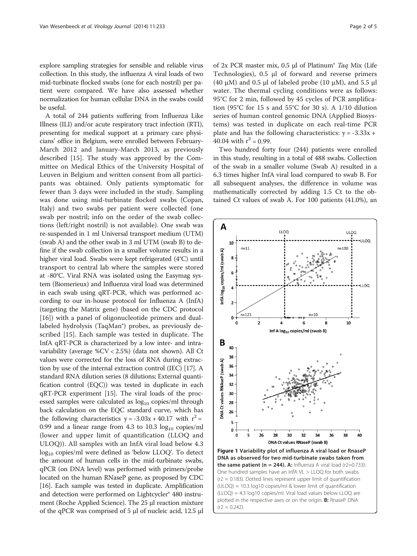<span id="page-1-0"></span>explore sampling strategies for sensible and reliable virus collection. In this study, the influenza A viral loads of two mid-turbinate flocked swabs (one for each nostril) per patient were compared. We have also assessed whether normalization for human cellular DNA in the swabs could be useful.

A total of 244 patients suffering from Influenza Like Illness (ILI) and/or acute respiratory tract infection (RTI), presenting for medical support at a primary care physicians' office in Belgium, were enrolled between February-March 2012 and January-March 2013, as previously described [[15](#page-4-0)]. The study was approved by the Committee on Medical Ethics of the University Hospital of Leuven in Belgium and written consent from all participants was obtained. Only patients symptomatic for fewer than 3 days were included in the study. Sampling was done using mid-turbinate flocked swabs (Copan, Italy) and two swabs per patient were collected (one swab per nostril; info on the order of the swab collections (left/right nostril) is not available). One swab was re-suspended in 1 ml Universal transport medium (UTM) (swab A) and the other swab in 3 ml UTM (swab B) to define if the swab collection in a smaller volume results in a higher viral load. Swabs were kept refrigerated (4°C) until transport to central lab where the samples were stored at -80°C. Viral RNA was isolated using the Easymag system (Biomerieux) and Influenza viral load was determined in each swab using qRT-PCR, which was performed according to our in-house protocol for Influenza A (InfA) (targeting the Matrix gene) (based on the CDC protocol [[16\]](#page-4-0)) with a panel of oligonucleotide primers and duallabeled hydrolysis (TaqMan®) probes, as previously described [[15\]](#page-4-0). Each sample was tested in duplicate. The InfA qRT-PCR is characterized by a low inter- and intravariability (average %CV < 2.5%) (data not shown). All Ct values were corrected for the loss of RNA during extraction by use of the internal extraction control (IEC) [[17\]](#page-4-0). A standard RNA dilution series (8 dilutions; External quantification control (EQC)) was tested in duplicate in each qRT-PCR experiment [[15](#page-4-0)]. The viral loads of the processed samples were calculated as  $log_{10}$  copies/ml through back calculation on the EQC standard curve, which has the following characteristics  $y = -3.03x + 40.17$  with  $r^2 =$ 0.99 and a linear range from 4.3 to 10.3  $log_{10}$  copies/ml (lower and upper limit of quantification (LLOQ and ULOQ)). All samples with an InfA viral load below 4.3 log<sub>10</sub> copies/ml were defined as 'below LLOQ'. To detect the amount of human cells in the mid-turbinate swabs, qPCR (on DNA level) was performed with primers/probe located on the human RNaseP gene, as proposed by CDC [[16](#page-4-0)]. Each sample was tested in duplicate. Amplification and detection were performed on Lightcycler® 480 instrument (Roche Applied Science). The 25 μl reaction mixture of the qPCR was comprised of 5 μl of nucleic acid, 12.5 μl

of 2x PCR master mix, 0.5 μl of Platinum® Taq Mix (Life Technologies), 0.5 μl of forward and reverse primers (40 μM) and 0.5 μl of labeled probe (10 μM), and 5.5 μl water. The thermal cycling conditions were as follows: 95°C for 2 min, followed by 45 cycles of PCR amplification (95°C for 15 s and 55°C for 30 s). A 1/10 dilution series of human control genomic DNA (Applied Biosystems) was tested in duplicate on each real-time PCR plate and has the following characteristics:  $y = -3.33x +$ 40.04 with  $r^2 = 0.99$ .

Two hundred forty four (244) patients were enrolled in this study, resulting in a total of 488 swabs. Collection of the swab in a smaller volume (Swab A) resulted in a 6.3 times higher InfA viral load compared to swab B. For all subsequent analyses, the difference in volume was mathematically corrected by adding 1.5 Ct to the obtained Ct values of swab A. For 100 patients (41.0%), an

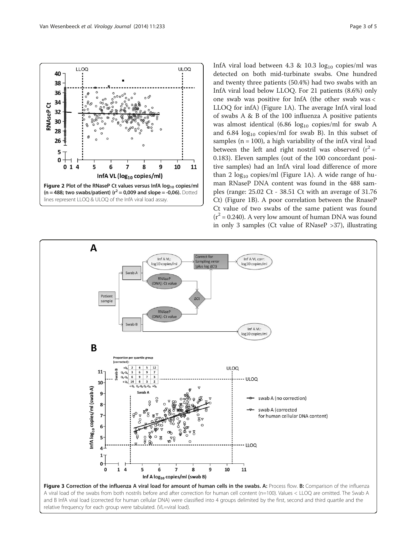<span id="page-2-0"></span>

InfA viral load between  $4.3 \& 10.3 \text{ log}_{10}$  copies/ml was detected on both mid-turbinate swabs. One hundred and twenty three patients (50.4%) had two swabs with an InfA viral load below LLOQ. For 21 patients (8.6%) only one swab was positive for InfA (the other swab was < LLOQ for infA) (Figure [1A](#page-1-0)). The average InfA viral load of swabs A & B of the 100 influenza A positive patients was almost identical (6.86  $log_{10}$  copies/ml for swab A and 6.84  $log_{10}$  copies/ml for swab B). In this subset of samples ( $n = 100$ ), a high variability of the infA viral load between the left and right nostril was observed  $(r^2 =$ 0.183). Eleven samples (out of the 100 concordant positive samples) had an InfA viral load difference of more than 2  $log_{10}$  copies/ml (Figure [1](#page-1-0)A). A wide range of human RNaseP DNA content was found in the 488 samples (range: 25.02 Ct - 38.51 Ct with an average of 31.76 Ct) (Figure [1B](#page-1-0)). A poor correlation between the RnaseP Ct value of two swabs of the same patient was found  $(r^2 = 0.240)$ . A very low amount of human DNA was found in only 3 samples (Ct value of RNaseP >37), illustrating



and B InfA viral load (corrected for human cellular DNA) were classified into 4 groups delimited by the first, second and third quartile and the relative frequency for each group were tabulated. (VL=viral load).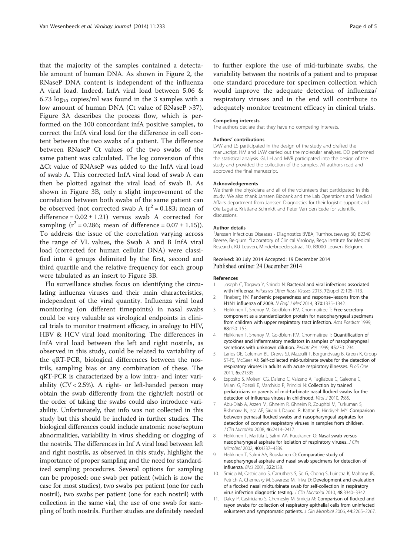<span id="page-3-0"></span>that the majority of the samples contained a detectable amount of human DNA. As shown in Figure [2,](#page-2-0) the RNaseP DNA content is independent of the influenza A viral load. Indeed, InfA viral load between 5.06 & 6.73  $log_{10}$  copies/ml was found in the 3 samples with a low amount of human DNA (Ct value of RNaseP >37). Figure [3A](#page-2-0) describes the process flow, which is performed on the 100 concordant infA positive samples, to correct the InfA viral load for the difference in cell content between the two swabs of a patient. The difference between RNaseP Ct values of the two swabs of the same patient was calculated. The log conversion of this ΔCt value of RNAseP was added to the InfA viral load of swab A. This corrected InfA viral load of swab A can then be plotted against the viral load of swab B. As shown in Figure [3](#page-2-0)B, only a slight improvement of the correlation between both swabs of the same patient can be observed (not corrected swab A ( $r^2$  = 0.183; mean of difference =  $0.02 \pm 1.21$ ) versus swab A corrected for sampling  $(r^2 = 0.286; \text{ mean of difference} = 0.07 \pm 1.15)$ ). To address the issue of the correlation varying across the range of VL values, the Swab A and B InfA viral load (corrected for human cellular DNA) were classified into 4 groups delimited by the first, second and third quartile and the relative frequency for each group were tabulated as an insert to Figure [3](#page-2-0)B.

Flu surveillance studies focus on identifying the circulating influenza viruses and their main characteristics, independent of the viral quantity. Influenza viral load monitoring (on different timepoints) in nasal swabs could be very valuable as virological endpoints in clinical trials to monitor treatment efficacy, in analogy to HIV, HBV & HCV viral load monitoring. The differences in InfA viral load between the left and right nostrils, as observed in this study, could be related to variability of the qRT-PCR, biological differences between the nostrils, sampling bias or any combination of these. The qRT-PCR is characterized by a low intra- and inter variability ( $CV < 2.5$ %). A right- or left-handed person may obtain the swab differently from the right/left nostril or the order of taking the swabs could also introduce variability. Unfortunately, that info was not collected in this study but this should be included in further studies. The biological differences could include anatomic nose/septum abnormalities, variability in virus shedding or clogging of the nostrils. The differences in Inf A viral load between left and right nostrils, as observed in this study, highlight the importance of proper sampling and the need for standardized sampling procedures. Several options for sampling can be proposed: one swab per patient (which is now the case for most studies), two swabs per patient (one for each nostril), two swabs per patient (one for each nostril) with collection in the same vial, the use of one swab for sampling of both nostrils. Further studies are definitely needed

to further explore the use of mid-turbinate swabs, the variability between the nostrils of a patient and to propose one standard procedure for specimen collection which would improve the adequate detection of influenza/ respiratory viruses and in the end will contribute to adequately monitor treatment efficacy in clinical trials.

#### Competing interests

The authors declare that they have no competing interests.

#### Authors' contributions

LVW and LS participated in the design of the study and drafted the manuscript. HM and LVW carried out the molecular analyses. DD performed the statistical analysis. GI, LH and MVR participated into the design of the study and provided the collection of the samples. All authors read and approved the final manuscript.

#### Acknowledgements

We thank the physicians and all of the volunteers that participated in this study. We also thank Janssen Biobank and the Lab Operations and Medical Affairs department from Janssen Diagnostics for their logistic support and Ole Lagatie, Kristiane Schmidt and Peter Van den Eede for scientific discussions.

#### Author details

<sup>1</sup> Janssen Infectious Diseases - Diagnostics BVBA, Turnhoutseweg 30, B2340 Beerse, Belgium. <sup>2</sup> Laboratory of Clinical Virology, Rega Institute for Medical Research, KU Leuven, Minderbroedersstraat 10, B3000 Leuven, Belgium.

### Received: 30 July 2014 Accepted: 19 December 2014 Published online: 24 December 2014

#### References

- 1. Joseph C, Togawa Y, Shindo N: Bacterial and viral infections associated with influenza. Influenza Other Respi Viruses 2013, 7(Suppl 2):105–113.
- 2. Fineberg HV: Pandemic preparedness and response–lessons from the H1N1 influenza of 2009. N Engl J Med 2014, 370:1335–1342.
- 3. Heikkinen T, Shenoy M, Goldblum RM, Chonmaitree T: Free secretory component as a standardization protein for nasopharyngeal specimens from children with upper respiratory tract infection. Acta Paediatr 1999, 88:150–153.
- 4. Heikkinen T, Shenoy M, Goldblum RM, Chonmaitree T: Quantification of cytokines and inflammatory mediators in samples of nasopharyngeal secretions with unknown dilution. Pediatr Res 1999, 45:230–234.
- 5. Larios OE, Coleman BL, Drews SJ, Mazzulli T, Borgundvaag B, Green K, Group ST-FS, McGeer AJ: Self-collected mid-turbinate swabs for the detection of respiratory viruses in adults with acute respiratory illnesses. PLoS One 2011, 6:e21335.
- 6. Esposito S, Molteni CG, Daleno C, Valzano A, Tagliabue C, Galeone C, Milani G, Fossali E, Marchisio P, Principi N: Collection by trained pediatricians or parents of mid-turbinate nasal flocked swabs for the detection of influenza viruses in childhood. Virol J 2010, 7:85.
- 7. Abu-Diab A, Azzeh M, Ghneim R, Ghneim R, Zoughbi M, Turkuman S, Rishmawi N, Issa AE, Siriani I, Dauodi R, Kattan R, Hindiyeh MY: Comparison between pernasal flocked swabs and nasopharyngeal aspirates for detection of common respiratory viruses in samples from children. J Clin Microbiol 2008, 46:2414–2417.
- 8. Heikkinen T, Marttila J, Salmi AA, Ruuskanen O: Nasal swab versus nasopharyngeal aspirate for isolation of respiratory viruses. J Clin Microbiol 2002, 40:4337–4339.
- Heikkinen T, Salmi AA, Ruuskanen O: Comparative study of nasopharyngeal aspirate and nasal swab specimens for detection of influenza. BMJ 2001, 322:138.
- 10. Smieja M, Castriciano S, Carruthers S, So G, Chong S, Luinstra K, Mahony JB, Petrich A, Chernesky M, Savarese M, Triva D: Development and evaluation of a flocked nasal midturbinate swab for self-collection in respiratory virus infection diagnostic testing. J Clin Microbiol 2010, 48:3340-3342
- 11. Daley P, Castriciano S, Chernesky M, Smieja M: Comparison of flocked and rayon swabs for collection of respiratory epithelial cells from uninfected volunteers and symptomatic patients. J Clin Microbiol 2006, 44:2265-2267.